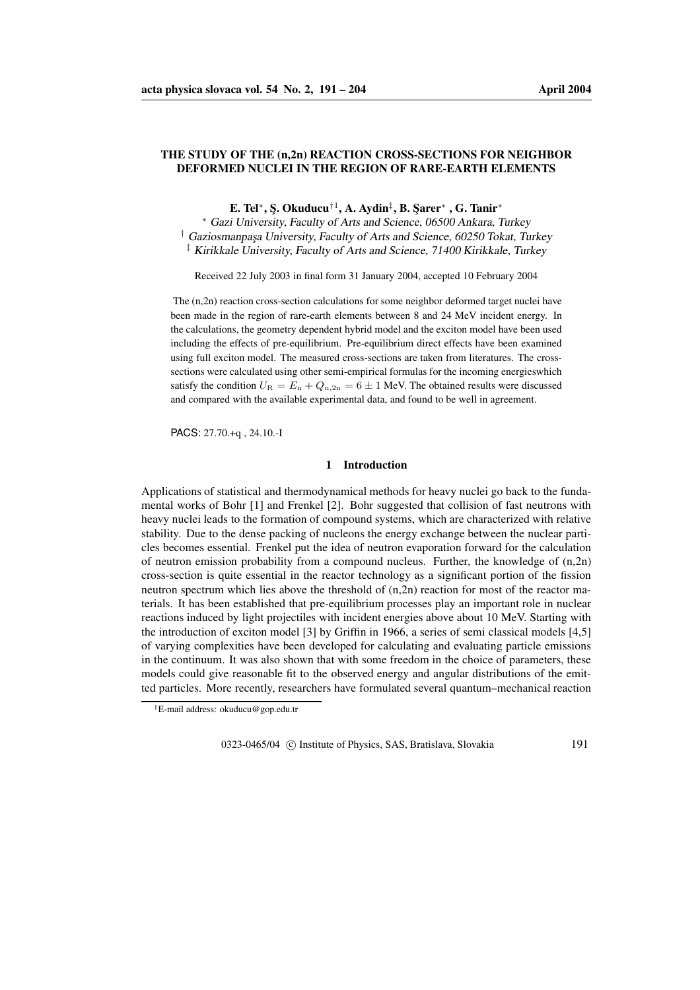# **THE STUDY OF THE (n,2n) REACTION CROSS-SECTIONS FOR NEIGHBOR DEFORMED NUCLEI IN THE REGION OF RARE-EARTH ELEMENTS**

**E. Tel**<sup>∗</sup> **, S¸. Okuducu**†<sup>1</sup> **, A. Aydin**‡ **, B. S¸arer**<sup>∗</sup> **, G. Tanir**<sup>∗</sup>

<sup>∗</sup> Gazi University, Faculty of Arts and Science, <sup>06500</sup> Ankara, Turkey

<sup>†</sup> Gaziosmanpaşa University, Faculty of Arts and Science, 60250 Tokat, Turkey

‡ Kirikkale University, Faculty of Arts and Science, <sup>71400</sup> Kirikkale, Turkey

Received 22 July 2003 in final form 31 January 2004, accepted 10 February 2004

The (n,2n) reaction cross-section calculations for some neighbor deformed target nuclei have been made in the region of rare-earth elements between 8 and 24 MeV incident energy. In the calculations, the geometry dependent hybrid model and the exciton model have been used including the effects of pre-equilibrium. Pre-equilibrium direct effects have been examined using full exciton model. The measured cross-sections are taken from literatures. The crosssections were calculated using other semi-empirical formulas for the incoming energieswhich satisfy the condition  $U_R = E_n + Q_{n,2n} = 6 \pm 1$  MeV. The obtained results were discussed and compared with the available experimental data, and found to be well in agreement.

PACS: 27.70.+q , 24.10.-I

### **1 Introduction**

Applications of statistical and thermodynamical methods for heavy nuclei go back to the fundamental works of Bohr [1] and Frenkel [2]. Bohr suggested that collision of fast neutrons with heavy nuclei leads to the formation of compound systems, which are characterized with relative stability. Due to the dense packing of nucleons the energy exchange between the nuclear particles becomes essential. Frenkel put the idea of neutron evaporation forward for the calculation of neutron emission probability from a compound nucleus. Further, the knowledge of (n,2n) cross-section is quite essential in the reactor technology as a significant portion of the fission neutron spectrum which lies above the threshold of  $(n,2n)$  reaction for most of the reactor materials. It has been established that pre-equilibrium processes play an important role in nuclear reactions induced by light projectiles with incident energies above about 10 MeV. Starting with the introduction of exciton model [3] by Griffin in 1966, a series of semi classical models [4,5] of varying complexities have been developed for calculating and evaluating particle emissions in the continuum. It was also shown that with some freedom in the choice of parameters, these models could give reasonable fit to the observed energy and angular distributions of the emitted particles. More recently, researchers have formulated several quantum–mechanical reaction

0323-0465/04 (C) Institute of Physics, SAS, Bratislava, Slovakia 191

<sup>&</sup>lt;sup>1</sup>E-mail address: okuducu@gop.edu.tr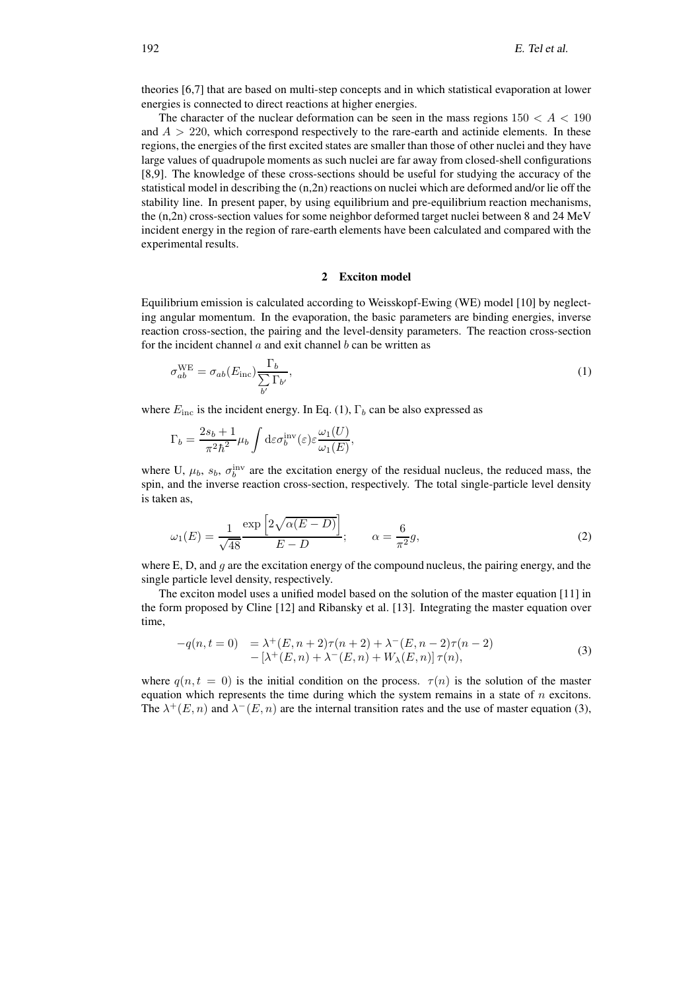theories [6,7] that are based on multi-step concepts and in which statistical evaporation at lower energies is connected to direct reactions at higher energies.

The character of the nuclear deformation can be seen in the mass regions  $150 < A < 190$ and  $A > 220$ , which correspond respectively to the rare-earth and actinide elements. In these regions, the energies of the first excited states are smaller than those of other nuclei and they have large values of quadrupole moments as such nuclei are far away from closed-shell configurations [8,9]. The knowledge of these cross-sections should be useful for studying the accuracy of the statistical model in describing the (n,2n) reactions on nuclei which are deformed and/or lie off the stability line. In present paper, by using equilibrium and pre-equilibrium reaction mechanisms, the (n,2n) cross-section values for some neighbor deformed target nuclei between 8 and 24 MeV incident energy in the region of rare-earth elements have been calculated and compared with the experimental results.

## **2 Exciton model**

Equilibrium emission is calculated according to Weisskopf-Ewing (WE) model [10] by neglecting angular momentum. In the evaporation, the basic parameters are binding energies, inverse reaction cross-section, the pairing and the level-density parameters. The reaction cross-section for the incident channel  $\alpha$  and exit channel  $\beta$  can be written as

$$
\sigma_{ab}^{\text{WE}} = \sigma_{ab}(E_{\text{inc}}) \frac{\Gamma_b}{\sum_{b'} \Gamma_{b'}},\tag{1}
$$

where  $E_{\text{inc}}$  is the incident energy. In Eq. (1),  $\Gamma_b$  can be also expressed as

$$
\Gamma_b = \frac{2s_b + 1}{\pi^2 \hbar^2} \mu_b \int d\varepsilon \sigma_b^{\text{inv}}(\varepsilon) \varepsilon \frac{\omega_1(U)}{\omega_1(E)},
$$

where U,  $\mu_b$ ,  $s_b$ ,  $\sigma_b^{\text{inv}}$  are the excitation energy of the residual nucleus, the reduced mass, the spin, and the inverse reaction cross-section, respectively. The total single-particle level density is taken as,

$$
\omega_1(E) = \frac{1}{\sqrt{48}} \frac{\exp\left[2\sqrt{\alpha(E - D)}\right]}{E - D}; \qquad \alpha = \frac{6}{\pi^2} g,
$$
\n(2)

where E, D, and g are the excitation energy of the compound nucleus, the pairing energy, and the single particle level density, respectively.

The exciton model uses a unified model based on the solution of the master equation [11] in the form proposed by Cline [12] and Ribansky et al. [13]. Integrating the master equation over time,

$$
-q(n,t=0) = \lambda^+(E, n+2)\tau(n+2) + \lambda^-(E, n-2)\tau(n-2)
$$
  
 
$$
-[\lambda^+(E, n) + \lambda^-(E, n) + W_\lambda(E, n)]\tau(n),
$$
 (3)

where  $q(n,t = 0)$  is the initial condition on the process.  $\tau(n)$  is the solution of the master equation which represents the time during which the system remains in a state of  $n$  excitons. The  $\lambda^+(E, n)$  and  $\lambda^-(E, n)$  are the internal transition rates and the use of master equation (3),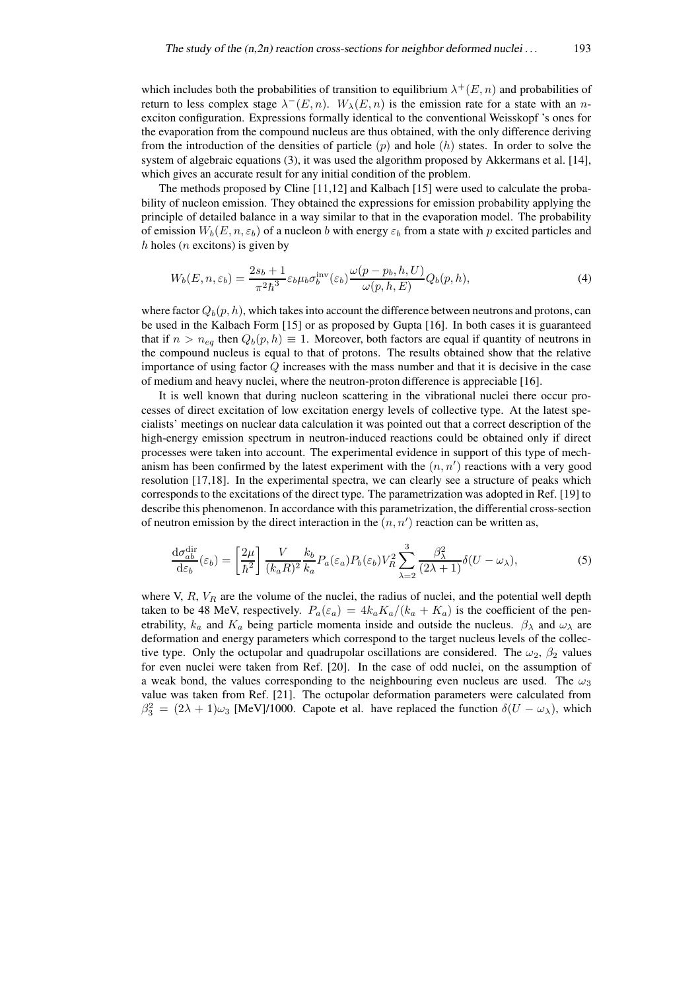which includes both the probabilities of transition to equilibrium  $\lambda^+(E,n)$  and probabilities of return to less complex stage  $\lambda^-(E, n)$ .  $W_\lambda(E, n)$  is the emission rate for a state with an nexciton configuration. Expressions formally identical to the conventional Weisskopf 's ones for the evaporation from the compound nucleus are thus obtained, with the only difference deriving from the introduction of the densities of particle  $(p)$  and hole  $(h)$  states. In order to solve the system of algebraic equations (3), it was used the algorithm proposed by Akkermans et al. [14], which gives an accurate result for any initial condition of the problem.

The methods proposed by Cline [11,12] and Kalbach [15] were used to calculate the probability of nucleon emission. They obtained the expressions for emission probability applying the principle of detailed balance in a way similar to that in the evaporation model. The probability of emission  $W_b(E, n, \varepsilon_b)$  of a nucleon b with energy  $\varepsilon_b$  from a state with p excited particles and h holes ( $n$  excitons) is given by

$$
W_b(E, n, \varepsilon_b) = \frac{2s_b + 1}{\pi^2 \hbar^3} \varepsilon_b \mu_b \sigma_b^{\text{inv}}(\varepsilon_b) \frac{\omega(p - p_b, h, U)}{\omega(p, h, E)} Q_b(p, h), \tag{4}
$$

where factor  $Q_b(p, h)$ , which takes into account the difference between neutrons and protons, can be used in the Kalbach Form [15] or as proposed by Gupta [16]. In both cases it is guaranteed that if  $n > n_{eq}$  then  $Q_b(p, h) \equiv 1$ . Moreover, both factors are equal if quantity of neutrons in the compound nucleus is equal to that of protons. The results obtained show that the relative importance of using factor  $Q$  increases with the mass number and that it is decisive in the case of medium and heavy nuclei, where the neutron-proton difference is appreciable [16].

It is well known that during nucleon scattering in the vibrational nuclei there occur processes of direct excitation of low excitation energy levels of collective type. At the latest specialists' meetings on nuclear data calculation it was pointed out that a correct description of the high-energy emission spectrum in neutron-induced reactions could be obtained only if direct processes were taken into account. The experimental evidence in support of this type of mechanism has been confirmed by the latest experiment with the  $(n, n')$  reactions with a very good resolution [17,18]. In the experimental spectra, we can clearly see a structure of peaks which corresponds to the excitations of the direct type. The parametrization was adopted in Ref. [19] to describe this phenomenon. In accordance with this parametrization, the differential cross-section of neutron emission by the direct interaction in the  $(n, n')$  reaction can be written as,

$$
\frac{\mathrm{d}\sigma_{ab}^{\mathrm{dir}}}{\mathrm{d}\varepsilon_b}(\varepsilon_b) = \left[\frac{2\mu}{\hbar^2}\right] \frac{V}{(k_a R)^2} \frac{k_b}{k_a} P_a(\varepsilon_a) P_b(\varepsilon_b) V_R^2 \sum_{\lambda=2}^3 \frac{\beta_\lambda^2}{(2\lambda+1)} \delta(U-\omega_\lambda),\tag{5}
$$

where V,  $R$ ,  $V_R$  are the volume of the nuclei, the radius of nuclei, and the potential well depth taken to be 48 MeV, respectively.  $P_a(\varepsilon_a) = 4k_a K_a/(k_a + K_a)$  is the coefficient of the penetrability,  $k_a$  and  $K_a$  being particle momenta inside and outside the nucleus.  $\beta_{\lambda}$  and  $\omega_{\lambda}$  are deformation and energy parameters which correspond to the target nucleus levels of the collective type. Only the octupolar and quadrupolar oscillations are considered. The  $\omega_2$ ,  $\beta_2$  values for even nuclei were taken from Ref. [20]. In the case of odd nuclei, on the assumption of a weak bond, the values corresponding to the neighbouring even nucleus are used. The  $\omega_3$ value was taken from Ref. [21]. The octupolar deformation parameters were calculated from  $\beta_3^2 = (2\lambda + 1)\omega_3$  [MeV]/1000. Capote et al. have replaced the function  $\delta(U - \omega_\lambda)$ , which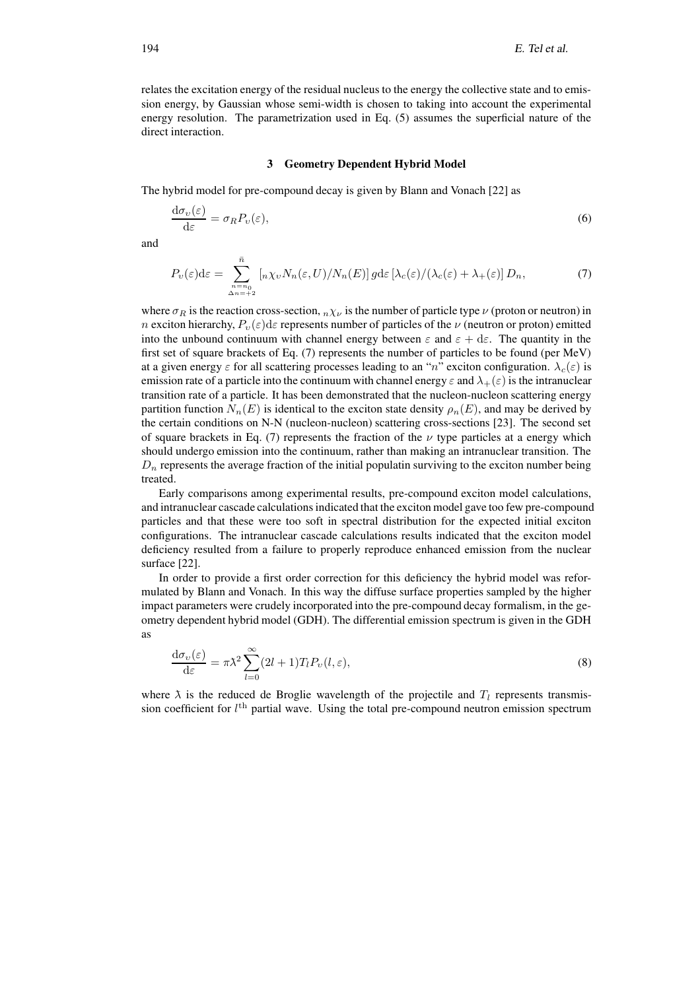relates the excitation energy of the residual nucleus to the energy the collective state and to emission energy, by Gaussian whose semi-width is chosen to taking into account the experimental energy resolution. The parametrization used in Eq. (5) assumes the superficial nature of the direct interaction.

### **3 Geometry Dependent Hybrid Model**

The hybrid model for pre-compound decay is given by Blann and Vonach [22] as

$$
\frac{\mathrm{d}\sigma_v(\varepsilon)}{\mathrm{d}\varepsilon} = \sigma_R P_v(\varepsilon),\tag{6}
$$

and

$$
P_{\upsilon}(\varepsilon)d\varepsilon = \sum_{\substack{n=n_0\\ \Delta n = +2}}^{\bar{n}} \left[ \frac{n\chi_{\upsilon}N_n(\varepsilon, U)}{N_n(\varepsilon, U)} \right] g d\varepsilon \left[ \frac{\lambda_c(\varepsilon)}{(\lambda_c(\varepsilon) + \lambda_+(\varepsilon))} D_n, \right] \tag{7}
$$

where  $\sigma_R$  is the reaction cross-section,  $n\chi_\nu$  is the number of particle type  $\nu$  (proton or neutron) in n exciton hierarchy,  $P_v(\varepsilon)$ d $\varepsilon$  represents number of particles of the  $\nu$  (neutron or proton) emitted into the unbound continuum with channel energy between  $\varepsilon$  and  $\varepsilon + d\varepsilon$ . The quantity in the first set of square brackets of Eq. (7) represents the number of particles to be found (per MeV) at a given energy  $\varepsilon$  for all scattering processes leading to an "n" exciton configuration.  $\lambda_c(\varepsilon)$  is emission rate of a particle into the continuum with channel energy  $\varepsilon$  and  $\lambda_+(\varepsilon)$  is the intranuclear transition rate of a particle. It has been demonstrated that the nucleon-nucleon scattering energy partition function  $N_n(E)$  is identical to the exciton state density  $\rho_n(E)$ , and may be derived by the certain conditions on N-N (nucleon-nucleon) scattering cross-sections [23]. The second set of square brackets in Eq. (7) represents the fraction of the  $\nu$  type particles at a energy which should undergo emission into the continuum, rather than making an intranuclear transition. The  $D_n$  represents the average fraction of the initial populatin surviving to the exciton number being treated.

Early comparisons among experimental results, pre-compound exciton model calculations, and intranuclear cascade calculationsindicated that the exciton model gave too few pre-compound particles and that these were too soft in spectral distribution for the expected initial exciton configurations. The intranuclear cascade calculations results indicated that the exciton model deficiency resulted from a failure to properly reproduce enhanced emission from the nuclear surface [22].

In order to provide a first order correction for this deficiency the hybrid model was reformulated by Blann and Vonach. In this way the diffuse surface properties sampled by the higher impact parameters were crudely incorporated into the pre-compound decay formalism, in the geometry dependent hybrid model (GDH). The differential emission spectrum is given in the GDH as

$$
\frac{\mathrm{d}\sigma_v(\varepsilon)}{\mathrm{d}\varepsilon} = \pi \lambda^2 \sum_{l=0}^{\infty} (2l+1) T_l P_v(l, \varepsilon),\tag{8}
$$

where  $\lambda$  is the reduced de Broglie wavelength of the projectile and  $T_l$  represents transmission coefficient for  $l<sup>th</sup>$  partial wave. Using the total pre-compound neutron emission spectrum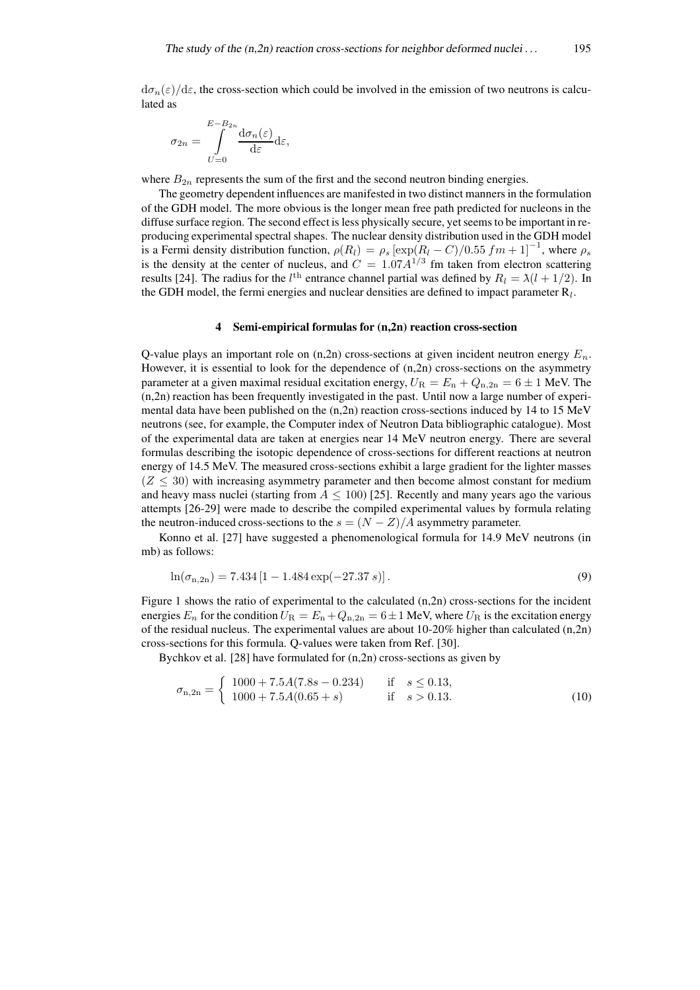$d\sigma_n(\varepsilon)/d\varepsilon$ , the cross-section which could be involved in the emission of two neutrons is calculated as

$$
\sigma_{2n} = \int\limits_{U=0}^{E-B_{2n}} \frac{d\sigma_n(\varepsilon)}{d\varepsilon} d\varepsilon,
$$

where  $B_{2n}$  represents the sum of the first and the second neutron binding energies.

The geometry dependent influences are manifested in two distinct mannersin the formulation of the GDH model. The more obvious is the longer mean free path predicted for nucleons in the diffuse surface region. The second effect is less physically secure, yet seems to be important in reproducing experimentalspectral shapes. The nuclear density distribution used in the GDH model is a Fermi density distribution function,  $\rho(R_l) = \rho_s [\exp(R_l - C)/0.55 f m + 1]^{-1}$ , where  $\rho_s$ is the density at the center of nucleus, and  $C = 1.07A^{1/3}$  fm taken from electron scattering results [24]. The radius for the  $l^{\text{th}}$  entrance channel partial was defined by  $R_l = \lambda(l + 1/2)$ . In the GDH model, the fermi energies and nuclear densities are defined to impact parameter  $\mathbb{R}_l$ .

### **4 Semi-empirical formulas for (n,2n) reaction cross-section**

Q-value plays an important role on  $(n,2n)$  cross-sections at given incident neutron energy  $E_n$ . However, it is essential to look for the dependence of  $(n,2n)$  cross-sections on the asymmetry parameter at a given maximal residual excitation energy,  $U_{\rm R} = E_{\rm n} + Q_{\rm n,2n} = 6 \pm 1$  MeV. The (n,2n) reaction has been frequently investigated in the past. Until now a large number of experimental data have been published on the  $(n,2n)$  reaction cross-sections induced by 14 to 15 MeV neutrons (see, for example, the Computer index of Neutron Data bibliographic catalogue). Most of the experimental data are taken at energies near 14 MeV neutron energy. There are several formulas describing the isotopic dependence of cross-sections for different reactions at neutron energy of 14.5 MeV. The measured cross-sections exhibit a large gradient for the lighter masses  $(Z \leq 30)$  with increasing asymmetry parameter and then become almost constant for medium and heavy mass nuclei (starting from  $A \leq 100$ ) [25]. Recently and many years ago the various attempts [26-29] were made to describe the compiled experimental values by formula relating the neutron-induced cross-sections to the  $s = (N - Z)/A$  asymmetry parameter.

Konno et al. [27] have suggested a phenomenological formula for 14.9 MeV neutrons (in mb) as follows:

$$
\ln(\sigma_{n,2n}) = 7.434 \left[ 1 - 1.484 \exp(-27.37 s) \right]. \tag{9}
$$

Figure 1 shows the ratio of experimental to the calculated (n,2n) cross-sections for the incident energies  $E_n$  for the condition  $U_R = E_n + Q_{n,2n} = 6 \pm 1$  MeV, where  $U_R$  is the excitation energy of the residual nucleus. The experimental values are about  $10\n-20\%$  higher than calculated  $(n,2n)$ cross-sections for this formula. Q-values were taken from Ref. [30].

Bychkov et al. [28] have formulated for (n,2n) cross-sections as given by

$$
\sigma_{n,2n} = \begin{cases}\n1000 + 7.5A(7.8s - 0.234) & \text{if } s \le 0.13, \\
1000 + 7.5A(0.65 + s) & \text{if } s > 0.13.\n\end{cases}
$$
\n(10)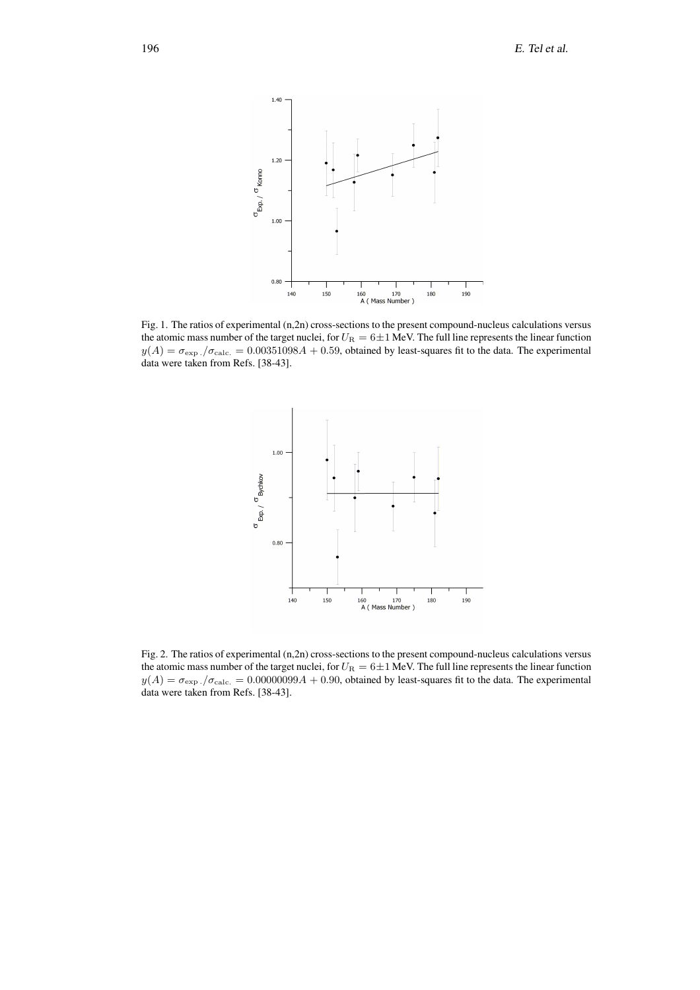

Fig. 1. The ratios of experimental (n,2n) cross-sections to the present compound-nucleus calculations versus the atomic mass number of the target nuclei, for  $U_R = 6 \pm 1$  MeV. The full line represents the linear function  $y(A) = \sigma_{\exp{}}$ .  $/\sigma_{\text{calc.}} = 0.00351098A + 0.59$ , obtained by least-squares fit to the data. The experimental data were taken from Refs. [38-43].



Fig. 2. The ratios of experimental (n,2n) cross-sections to the present compound-nucleus calculations versus the atomic mass number of the target nuclei, for  $U_R = 6 \pm 1$  MeV. The full line represents the linear function  $y(A) = \sigma_{\exp{}}$ .  $/\sigma_{\text{calc.}} = 0.00000099A + 0.90$ , obtained by least-squares fit to the data. The experimental data were taken from Refs. [38-43].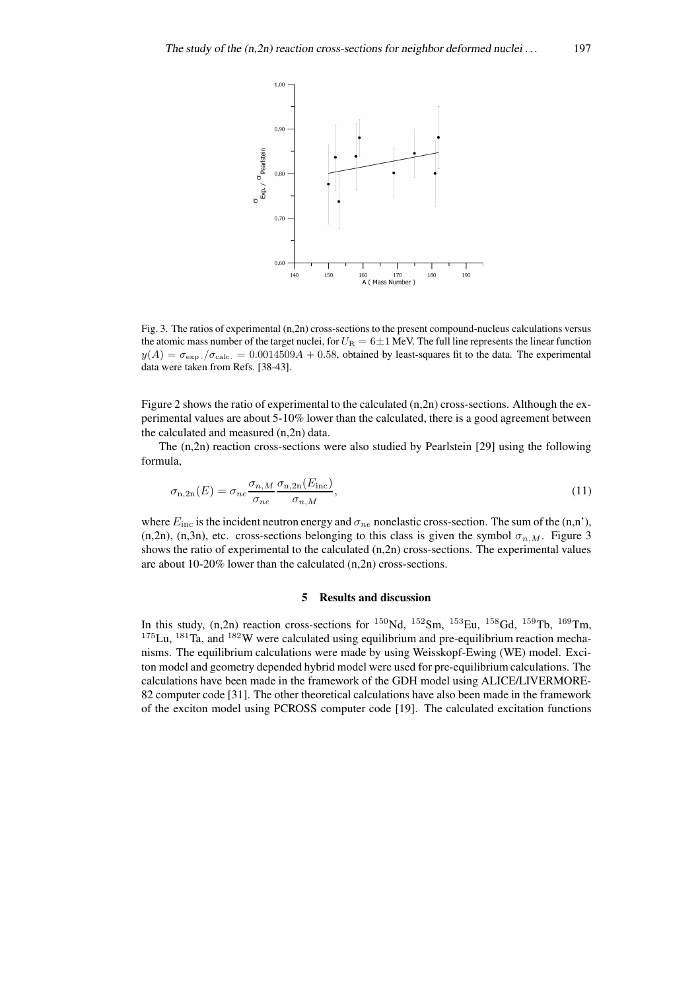

Fig. 3. The ratios of experimental (n,2n) cross-sections to the present compound-nucleus calculations versus the atomic mass number of the target nuclei, for  $U_R = 6 \pm 1$  MeV. The full line represents the linear function  $y(A) = \sigma_{\text{exp}}$ ,  $/\sigma_{\text{calc}} = 0.0014509A + 0.58$ , obtained by least-squares fit to the data. The experimental data were taken from Refs. [38-43].

Figure 2 shows the ratio of experimental to the calculated (n,2n) cross-sections. Although the experimental values are about 5-10% lower than the calculated, there is a good agreement between the calculated and measured (n,2n) data.

The (n,2n) reaction cross-sections were also studied by Pearlstein [29] using the following formula,

$$
\sigma_{n,2n}(E) = \sigma_{ne} \frac{\sigma_{n,M}}{\sigma_{ne}} \frac{\sigma_{n,2n}(E_{\text{inc}})}{\sigma_{n,M}},\tag{11}
$$

where  $E_{inc}$  is the incident neutron energy and  $\sigma_{ne}$  nonelastic cross-section. The sum of the (n,n'), (n,2n), (n,3n), etc. cross-sections belonging to this class is given the symbol  $\sigma_{n,M}$ . Figure 3 shows the ratio of experimental to the calculated (n,2n) cross-sections. The experimental values are about 10-20% lower than the calculated (n,2n) cross-sections.

## **5 Results and discussion**

In this study, (n,2n) reaction cross-sections for  $^{150}$ Nd,  $^{152}$ Sm,  $^{153}$ Eu,  $^{158}$ Gd,  $^{159}$ Tb,  $^{169}$ Tm,  $175$ Lu,  $181$ Ta, and  $182$ W were calculated using equilibrium and pre-equilibrium reaction mechanisms. The equilibrium calculations were made by using Weisskopf-Ewing (WE) model. Exciton model and geometry depended hybrid model were used for pre-equilibrium calculations. The calculations have been made in the framework of the GDH model using ALICE/LIVERMORE-82 computer code [31]. The other theoretical calculations have also been made in the framework of the exciton model using PCROSS computer code [19]. The calculated excitation functions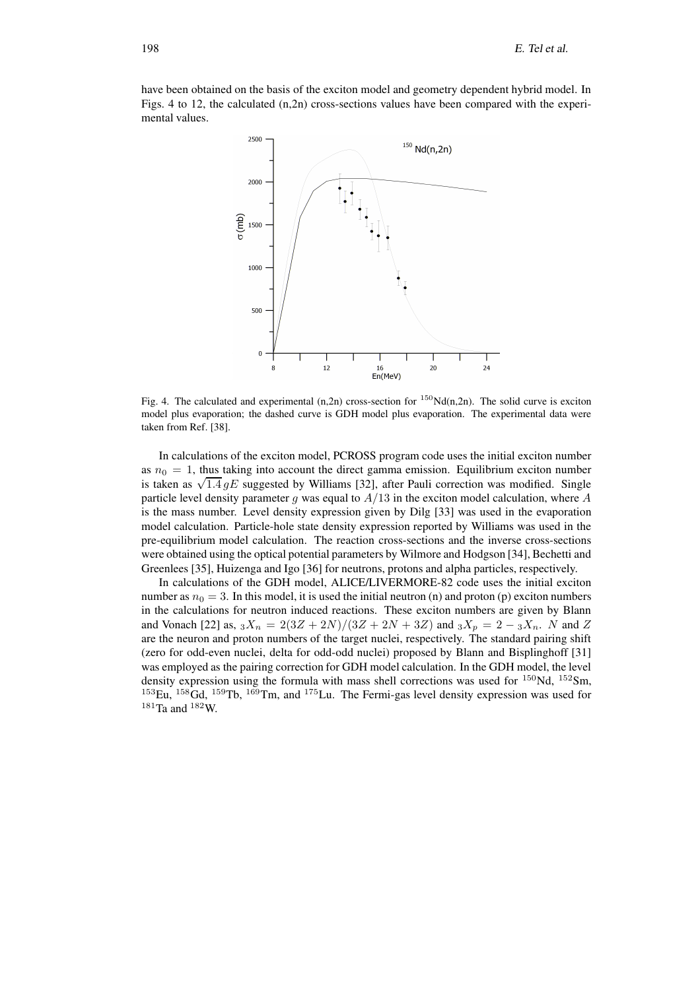have been obtained on the basis of the exciton model and geometry dependent hybrid model. In Figs. 4 to 12, the calculated (n,2n) cross-sections values have been compared with the experimental values.



Fig. 4. The calculated and experimental  $(n,2n)$  cross-section for  $150Nd(n,2n)$ . The solid curve is exciton model plus evaporation; the dashed curve is GDH model plus evaporation. The experimental data were taken from Ref. [38].

In calculations of the exciton model, PCROSS program code uses the initial exciton number as  $n_0 = 1$ , thus taking into account the direct gamma emission. Equilibrium exciton number is taken as  $\sqrt{1.4}$  gE suggested by Williams [32], after Pauli correction was modified. Single particle level density parameter q was equal to  $A/13$  in the exciton model calculation, where A is the mass number. Level density expression given by Dilg [33] was used in the evaporation model calculation. Particle-hole state density expression reported by Williams was used in the pre-equilibrium model calculation. The reaction cross-sections and the inverse cross-sections were obtained using the optical potential parameters by Wilmore and Hodgson [34], Bechetti and Greenlees [35], Huizenga and Igo [36] for neutrons, protons and alpha particles, respectively.

In calculations of the GDH model, ALICE/LIVERMORE-82 code uses the initial exciton number as  $n_0 = 3$ . In this model, it is used the initial neutron (n) and proton (p) exciton numbers in the calculations for neutron induced reactions. These exciton numbers are given by Blann and Vonach [22] as,  ${}_3X_n = 2(3Z + 2N)/(3Z + 2N + 3Z)$  and  ${}_3X_n = 2 - {}_3X_n$ . N and Z are the neuron and proton numbers of the target nuclei, respectively. The standard pairing shift (zero for odd-even nuclei, delta for odd-odd nuclei) proposed by Blann and Bisplinghoff [31] was employed as the pairing correction for GDH model calculation. In the GDH model, the level density expression using the formula with mass shell corrections was used for <sup>150</sup>Nd, <sup>152</sup>Sm,  $^{153}$ Eu,  $^{158}$ Gd,  $^{159}$ Tb,  $^{169}$ Tm, and  $^{175}$ Lu. The Fermi-gas level density expression was used for  $^{181}\mathrm{Ta}$  and  $^{182}\mathrm{W}$ .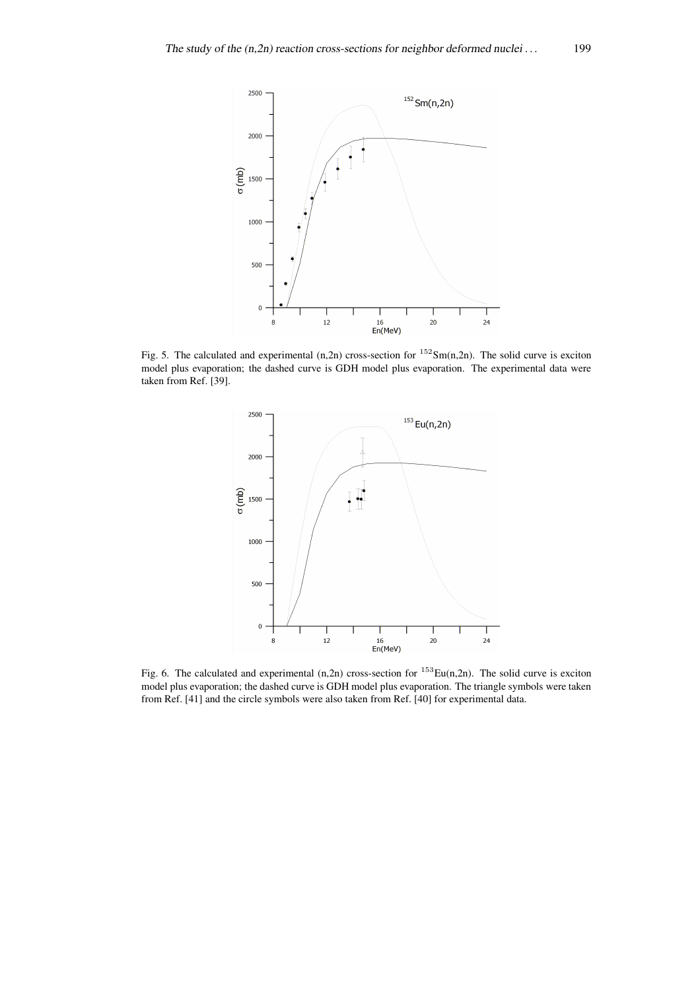

Fig. 5. The calculated and experimental  $(n,2n)$  cross-section for  $152Sm(n,2n)$ . The solid curve is exciton model plus evaporation; the dashed curve is GDH model plus evaporation. The experimental data were taken from Ref. [39].



Fig. 6. The calculated and experimental  $(n,2n)$  cross-section for  $^{153}Eu(n,2n)$ . The solid curve is exciton model plus evaporation; the dashed curve is GDH model plus evaporation. The triangle symbols were taken from Ref. [41] and the circle symbols were also taken from Ref. [40] for experimental data.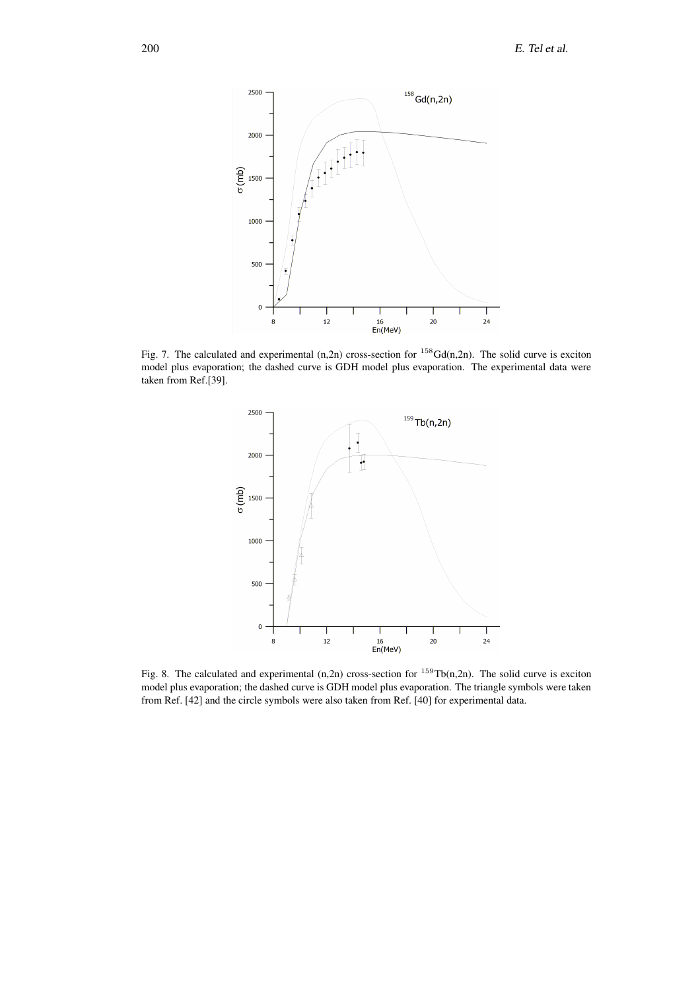

Fig. 7. The calculated and experimental (n,2n) cross-section for <sup>158</sup>Gd(n,2n). The solid curve is exciton model plus evaporation; the dashed curve is GDH model plus evaporation. The experimental data were taken from Ref.[39].



Fig. 8. The calculated and experimental  $(n,2n)$  cross-section for  $159 \text{ Tb}(n,2n)$ . The solid curve is exciton model plus evaporation; the dashed curve is GDH model plus evaporation. The triangle symbols were taken from Ref. [42] and the circle symbols were also taken from Ref. [40] for experimental data.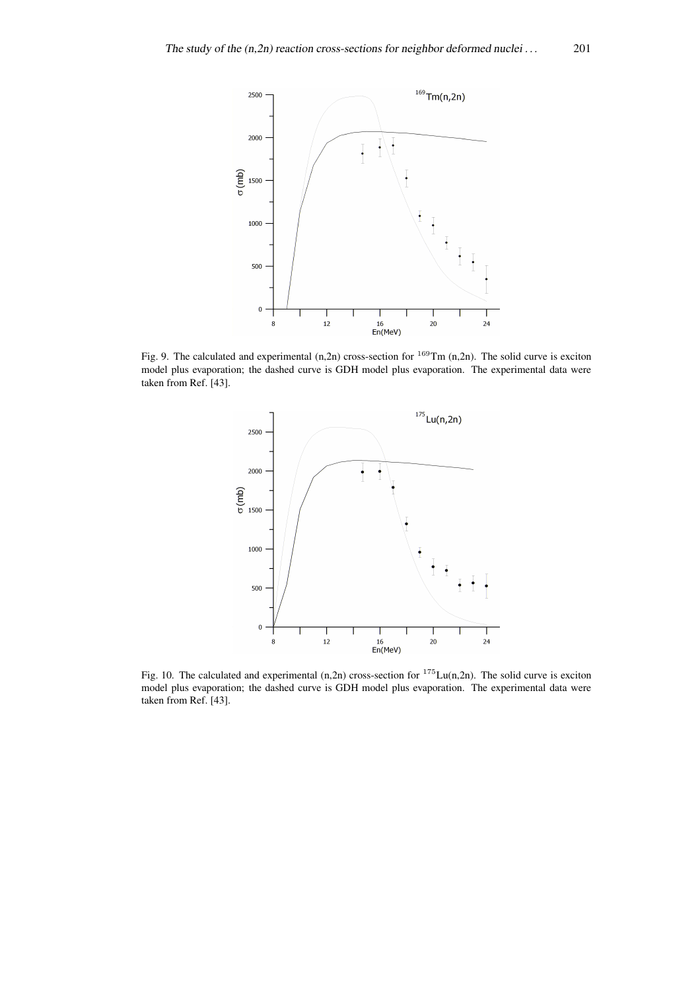

Fig. 9. The calculated and experimental (n,2n) cross-section for <sup>169</sup>Tm (n,2n). The solid curve is exciton model plus evaporation; the dashed curve is GDH model plus evaporation. The experimental data were taken from Ref. [43].



Fig. 10. The calculated and experimental  $(n,2n)$  cross-section for  $175$ Lu $(n,2n)$ . The solid curve is exciton model plus evaporation; the dashed curve is GDH model plus evaporation. The experimental data were taken from Ref. [43].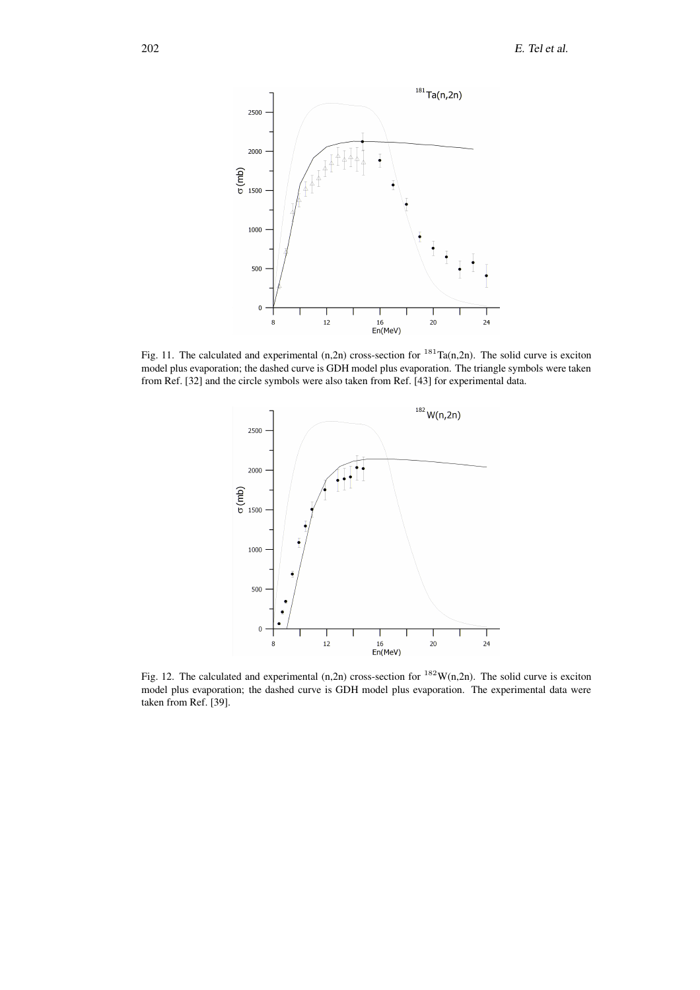

Fig. 11. The calculated and experimental  $(n,2n)$  cross-section for  $181$ Ta $(n,2n)$ . The solid curve is exciton model plus evaporation; the dashed curve is GDH model plus evaporation. The triangle symbols were taken from Ref. [32] and the circle symbols were also taken from Ref. [43] for experimental data.



Fig. 12. The calculated and experimental  $(n,2n)$  cross-section for  $^{182}$ W(n,2n). The solid curve is exciton model plus evaporation; the dashed curve is GDH model plus evaporation. The experimental data were taken from Ref. [39].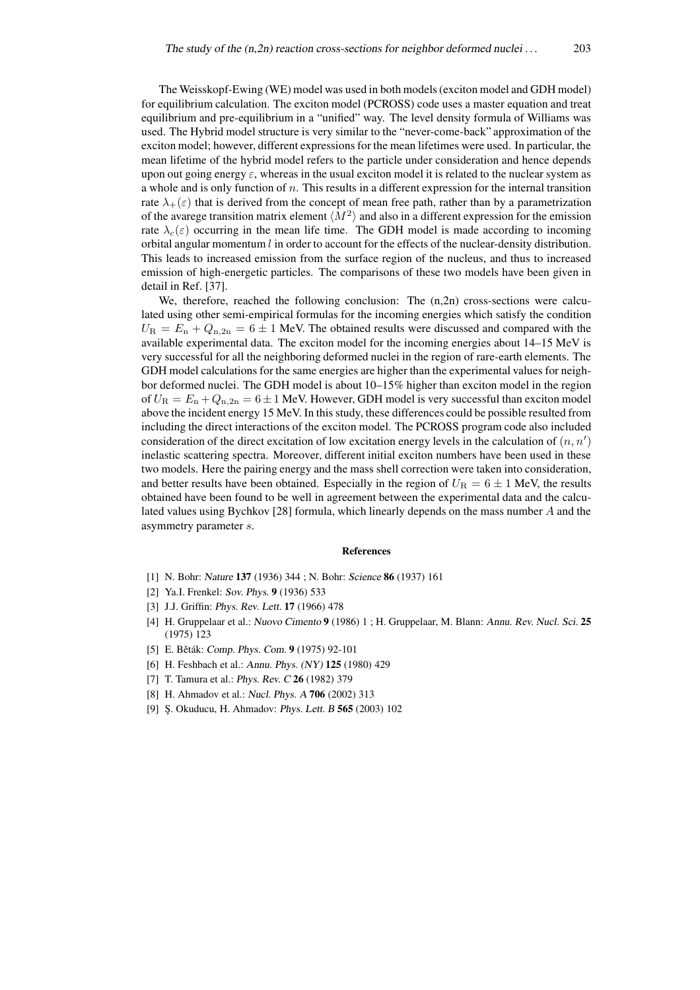The Weisskopf-Ewing (WE) model was used in both models(exciton model and GDH model) for equilibrium calculation. The exciton model (PCROSS) code uses a master equation and treat equilibrium and pre-equilibrium in a "unified" way. The level density formula of Williams was used. The Hybrid model structure is very similar to the "never-come-back" approximation of the exciton model; however, different expressions for the mean lifetimes were used. In particular, the mean lifetime of the hybrid model refers to the particle under consideration and hence depends upon out going energy  $\varepsilon$ , whereas in the usual exciton model it is related to the nuclear system as a whole and is only function of  $n$ . This results in a different expression for the internal transition rate  $\lambda_+(\varepsilon)$  that is derived from the concept of mean free path, rather than by a parametrization of the avarege transition matrix element  $\langle M^2 \rangle$  and also in a different expression for the emission rate  $\lambda_c(\varepsilon)$  occurring in the mean life time. The GDH model is made according to incoming orbital angular momentum  $l$  in order to account for the effects of the nuclear-density distribution. This leads to increased emission from the surface region of the nucleus, and thus to increased emission of high-energetic particles. The comparisons of these two models have been given in detail in Ref. [37].

We, therefore, reached the following conclusion: The  $(n,2n)$  cross-sections were calculated using other semi-empirical formulas for the incoming energies which satisfy the condition  $U_{\rm B} = E_{\rm n} + Q_{\rm n,2n} = 6 \pm 1$  MeV. The obtained results were discussed and compared with the available experimental data. The exciton model for the incoming energies about 14–15 MeV is very successful for all the neighboring deformed nuclei in the region of rare-earth elements. The GDH model calculations for the same energies are higher than the experimental values for neighbor deformed nuclei. The GDH model is about 10–15% higher than exciton model in the region of  $U_{\rm R} = E_{\rm n} + Q_{\rm n,2n} = 6 \pm 1$  MeV. However, GDH model is very successful than exciton model above the incident energy 15 MeV. In this study, these differences could be possible resulted from including the direct interactions of the exciton model. The PCROSS program code also included consideration of the direct excitation of low excitation energy levels in the calculation of  $(n, n')$ inelastic scattering spectra. Moreover, different initial exciton numbers have been used in these two models. Here the pairing energy and the mass shell correction were taken into consideration, and better results have been obtained. Especially in the region of  $U_R = 6 \pm 1$  MeV, the results obtained have been found to be well in agreement between the experimental data and the calculated values using Bychkov [28] formula, which linearly depends on the mass number A and the asymmetry parameter s.

#### **References**

- [1] N. Bohr: Nature **137** (1936) 344 ; N. Bohr: Science **86** (1937) 161
- [2] Ya.I. Frenkel: Sov. Phys. **9** (1936) 533
- [3] J.J. Griffin: Phys. Rev. Lett. **17** (1966) 478
- [4] H. Gruppelaar et al.: Nuovo Cimento **9** (1986) 1 ; H. Gruppelaar, M. Blann: Annu. Rev. Nucl. Sci. **25** (1975) 123
- [5] E. Běták: Comp. Phys. Com. 9 (1975) 92-101
- [6] H. Feshbach et al.: Annu. Phys. (NY) **125** (1980) 429
- [7] T. Tamura et al.: Phys. Rev. <sup>C</sup> **26** (1982) 379
- [8] H. Ahmadov et al.: Nucl. Phys. <sup>A</sup> **706** (2002) 313
- [9] S¸. Okuducu, H. Ahmadov: Phys. Lett. <sup>B</sup> **565** (2003) 102